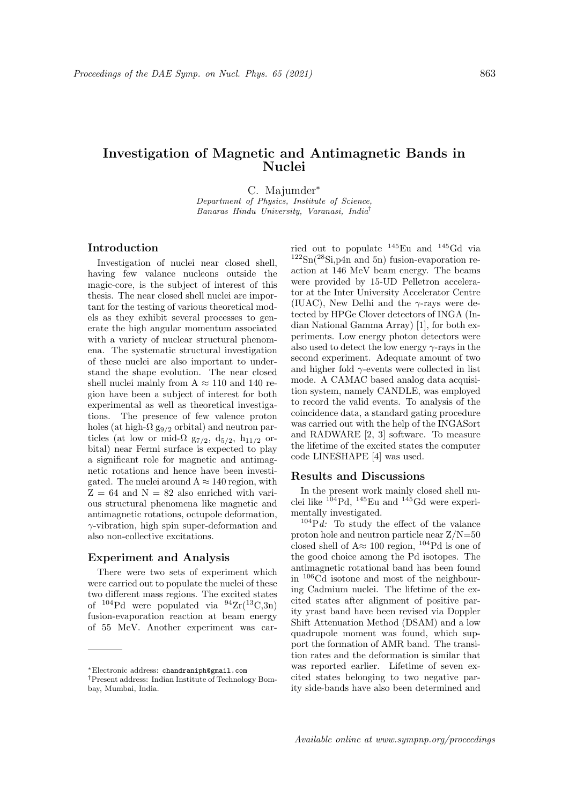# Investigation of Magnetic and Antimagnetic Bands in Nuclei

C. Majumder<sup>∗</sup>

Department of Physics, Institute of Science, Banaras Hindu University, Varanasi, India†

## Introduction

Investigation of nuclei near closed shell, having few valance nucleons outside the magic-core, is the subject of interest of this thesis. The near closed shell nuclei are important for the testing of various theoretical models as they exhibit several processes to generate the high angular momentum associated with a variety of nuclear structural phenomena. The systematic structural investigation of these nuclei are also important to understand the shape evolution. The near closed shell nuclei mainly from  $A \approx 110$  and 140 region have been a subject of interest for both experimental as well as theoretical investigations. The presence of few valence proton holes (at high- $\Omega$  g<sub>9/2</sub> orbital) and neutron particles (at low or mid- $\Omega$  g<sub>7/2</sub>, d<sub>5/2</sub>, h<sub>11/2</sub> orbital) near Fermi surface is expected to play a significant role for magnetic and antimagnetic rotations and hence have been investigated. The nuclei around  $A \approx 140$  region, with  $Z = 64$  and  $N = 82$  also enriched with various structural phenomena like magnetic and antimagnetic rotations, octupole deformation,  $\gamma$ -vibration, high spin super-deformation and also non-collective excitations.

#### Experiment and Analysis

There were two sets of experiment which were carried out to populate the nuclei of these two different mass regions. The excited states of  $^{104}Pd$  were populated via  $^{94}Zr(^{13}C,3n)$ fusion-evaporation reaction at beam energy of 55 MeV. Another experiment was car-

ried out to populate  $145$ Eu and  $145$ Gd via  $122\text{Sn}(^{28}\text{Si},\text{p4n}$  and 5n) fusion-evaporation reaction at 146 MeV beam energy. The beams were provided by 15-UD Pelletron accelerator at the Inter University Accelerator Centre (IUAC), New Delhi and the  $\gamma$ -rays were detected by HPGe Clover detectors of INGA (Indian National Gamma Array) [1], for both experiments. Low energy photon detectors were also used to detect the low energy  $\gamma$ -rays in the second experiment. Adequate amount of two and higher fold  $\gamma$ -events were collected in list mode. A CAMAC based analog data acquisition system, namely CANDLE, was employed to record the valid events. To analysis of the coincidence data, a standard gating procedure was carried out with the help of the INGASort and RADWARE [2, 3] software. To measure the lifetime of the excited states the computer code LINESHAPE [4] was used.

#### Results and Discussions

In the present work mainly closed shell nuclei like  $^{104}Pd$ ,  $^{145}Eu$  and  $^{145}Gd$  were experimentally investigated.

 $104Pd$ : To study the effect of the valance proton hole and neutron particle near Z/N=50 closed shell of  $A \approx 100$  region, <sup>104</sup>Pd is one of the good choice among the Pd isotopes. The antimagnetic rotational band has been found in <sup>106</sup>Cd isotone and most of the neighbouring Cadmium nuclei. The lifetime of the excited states after alignment of positive parity yrast band have been revised via Doppler Shift Attenuation Method (DSAM) and a low quadrupole moment was found, which support the formation of AMR band. The transition rates and the deformation is similar that was reported earlier. Lifetime of seven excited states belonging to two negative parity side-bands have also been determined and

<sup>∗</sup>Electronic address: chandraniph@gmail.com

<sup>†</sup>Present address: Indian Institute of Technology Bombay, Mumbai, India.